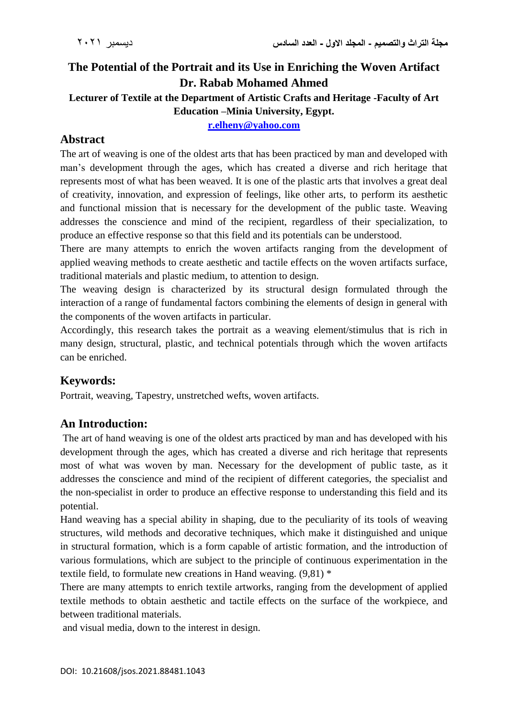# **The Potential of the Portrait and its Use in Enriching the Woven Artifact Dr. Rabab Mohamed Ahmed**

#### **Lecturer of Textile at the Department of Artistic Crafts and Heritage -Faculty of Art Education –Minia University, Egypt.**

**[r.elheny@yahoo.com](mailto:r.elheny@yahoo.com)**

# **Abstract**

The art of weaving is one of the oldest arts that has been practiced by man and developed with man's development through the ages, which has created a diverse and rich heritage that represents most of what has been weaved. It is one of the plastic arts that involves a great deal of creativity, innovation, and expression of feelings, like other arts, to perform its aesthetic and functional mission that is necessary for the development of the public taste. Weaving addresses the conscience and mind of the recipient, regardless of their specialization, to produce an effective response so that this field and its potentials can be understood.

There are many attempts to enrich the woven artifacts ranging from the development of applied weaving methods to create aesthetic and tactile effects on the woven artifacts surface, traditional materials and plastic medium, to attention to design.

The weaving design is characterized by its structural design formulated through the interaction of a range of fundamental factors combining the elements of design in general with the components of the woven artifacts in particular.

Accordingly, this research takes the portrait as a weaving element/stimulus that is rich in many design, structural, plastic, and technical potentials through which the woven artifacts can be enriched.

# **Keywords:**

Portrait, weaving, Tapestry, unstretched wefts, woven artifacts.

# **An Introduction:**

The art of hand weaving is one of the oldest arts practiced by man and has developed with his development through the ages, which has created a diverse and rich heritage that represents most of what was woven by man. Necessary for the development of public taste, as it addresses the conscience and mind of the recipient of different categories, the specialist and the non-specialist in order to produce an effective response to understanding this field and its potential.

Hand weaving has a special ability in shaping, due to the peculiarity of its tools of weaving structures, wild methods and decorative techniques, which make it distinguished and unique in structural formation, which is a form capable of artistic formation, and the introduction of various formulations, which are subject to the principle of continuous experimentation in the textile field, to formulate new creations in Hand weaving. (9,81) \*

There are many attempts to enrich textile artworks, ranging from the development of applied textile methods to obtain aesthetic and tactile effects on the surface of the workpiece, and between traditional materials.

and visual media, down to the interest in design.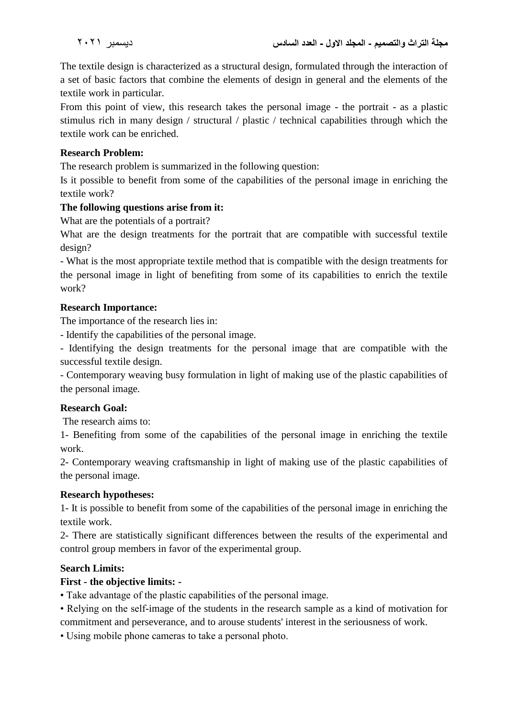The textile design is characterized as a structural design, formulated through the interaction of a set of basic factors that combine the elements of design in general and the elements of the textile work in particular.

From this point of view, this research takes the personal image - the portrait - as a plastic stimulus rich in many design / structural / plastic / technical capabilities through which the textile work can be enriched.

# **Research Problem:**

The research problem is summarized in the following question:

Is it possible to benefit from some of the capabilities of the personal image in enriching the textile work?

### **The following questions arise from it:**

What are the potentials of a portrait?

What are the design treatments for the portrait that are compatible with successful textile design?

- What is the most appropriate textile method that is compatible with the design treatments for the personal image in light of benefiting from some of its capabilities to enrich the textile work?

### **Research Importance:**

The importance of the research lies in:

- Identify the capabilities of the personal image.

- Identifying the design treatments for the personal image that are compatible with the successful textile design.

- Contemporary weaving busy formulation in light of making use of the plastic capabilities of the personal image.

#### **Research Goal:**

The research aims to:

1- Benefiting from some of the capabilities of the personal image in enriching the textile work.

2- Contemporary weaving craftsmanship in light of making use of the plastic capabilities of the personal image.

#### **Research hypotheses:**

1- It is possible to benefit from some of the capabilities of the personal image in enriching the textile work.

2- There are statistically significant differences between the results of the experimental and control group members in favor of the experimental group.

# **Search Limits:**

# **First - the objective limits: -**

• Take advantage of the plastic capabilities of the personal image.

• Relying on the self-image of the students in the research sample as a kind of motivation for commitment and perseverance, and to arouse students' interest in the seriousness of work.

• Using mobile phone cameras to take a personal photo.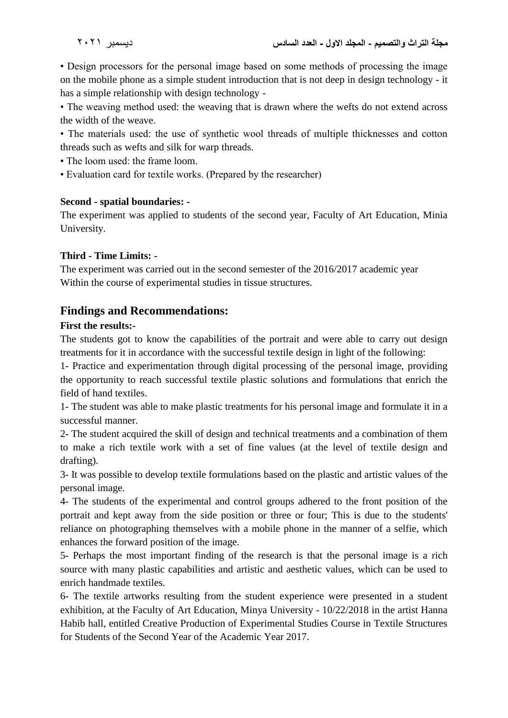• Design processors for the personal image based on some methods of processing the image on the mobile phone as a simple student introduction that is not deep in design technology - it has a simple relationship with design technology -

• The weaving method used: the weaving that is drawn where the wefts do not extend across the width of the weave.

• The materials used: the use of synthetic wool threads of multiple thicknesses and cotton threads such as wefts and silk for warp threads.

• The loom used: the frame loom.

• Evaluation card for textile works. (Prepared by the researcher)

### **Second - spatial boundaries: -**

The experiment was applied to students of the second year, Faculty of Art Education, Minia University.

### **Third - Time Limits: -**

The experiment was carried out in the second semester of the 2016/2017 academic year Within the course of experimental studies in tissue structures.

# **Findings and Recommendations:**

### **First the results:-**

The students got to know the capabilities of the portrait and were able to carry out design treatments for it in accordance with the successful textile design in light of the following:

1- Practice and experimentation through digital processing of the personal image, providing the opportunity to reach successful textile plastic solutions and formulations that enrich the field of hand textiles.

1- The student was able to make plastic treatments for his personal image and formulate it in a successful manner.

2- The student acquired the skill of design and technical treatments and a combination of them to make a rich textile work with a set of fine values (at the level of textile design and drafting).

3- It was possible to develop textile formulations based on the plastic and artistic values of the personal image.

4- The students of the experimental and control groups adhered to the front position of the portrait and kept away from the side position or three or four; This is due to the students' reliance on photographing themselves with a mobile phone in the manner of a selfie, which enhances the forward position of the image.

5- Perhaps the most important finding of the research is that the personal image is a rich source with many plastic capabilities and artistic and aesthetic values, which can be used to enrich handmade textiles.

6- The textile artworks resulting from the student experience were presented in a student exhibition, at the Faculty of Art Education, Minya University - 10/22/2018 in the artist Hanna Habib hall, entitled Creative Production of Experimental Studies Course in Textile Structures for Students of the Second Year of the Academic Year 2017.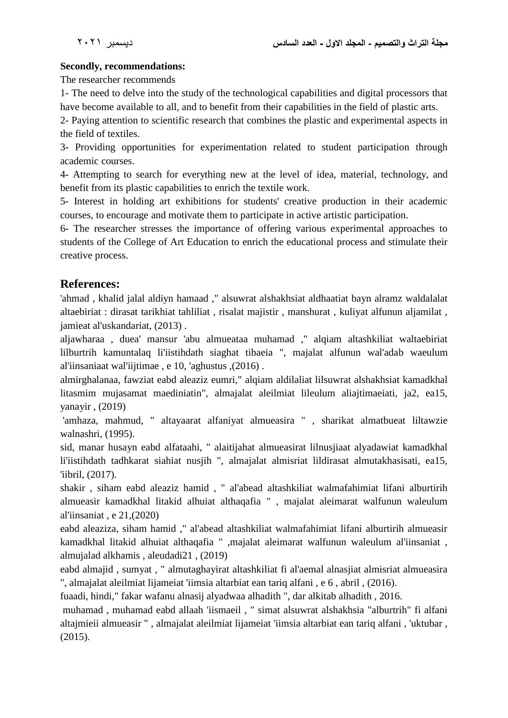# **Secondly, recommendations:**

The researcher recommends

1- The need to delve into the study of the technological capabilities and digital processors that have become available to all, and to benefit from their capabilities in the field of plastic arts.

2- Paying attention to scientific research that combines the plastic and experimental aspects in the field of textiles.

3- Providing opportunities for experimentation related to student participation through academic courses.

4- Attempting to search for everything new at the level of idea, material, technology, and benefit from its plastic capabilities to enrich the textile work.

5- Interest in holding art exhibitions for students' creative production in their academic courses, to encourage and motivate them to participate in active artistic participation.

6- The researcher stresses the importance of offering various experimental approaches to students of the College of Art Education to enrich the educational process and stimulate their creative process.

# **References:**

'ahmad , khalid jalal aldiyn hamaad ," alsuwrat alshakhsiat aldhaatiat bayn alramz waldalalat altaebiriat : dirasat tarikhiat tahliliat , risalat majistir , manshurat , kuliyat alfunun aljamilat , jamieat al'uskandariat, (2013) .

aljawharaa , duea' mansur 'abu almueataa muhamad ," alqiam altashkiliat waltaebiriat lilburtrih kamuntalaq li'iistihdath siaghat tibaeia ", majalat alfunun wal'adab waeulum al'iinsaniaat wal'iijtimae , e 10, 'aghustus ,(2016) .

almirghalanaa, fawziat eabd aleaziz eumri," alqiam aldilaliat lilsuwrat alshakhsiat kamadkhal litasmim mujasamat maediniatin", almajalat aleilmiat lileulum aliajtimaeiati, ja2, ea15, yanayir , (2019)

'amhaza, mahmud, " altayaarat alfaniyat almueasira " , sharikat almatbueat liltawzie walnashri, (1995).

sid, manar husayn eabd alfataahi, " alaitijahat almueasirat lilnusjiaat alyadawiat kamadkhal li'iistihdath tadhkarat siahiat nusjih ", almajalat almisriat lildirasat almutakhasisati, ea15, 'iibril, (2017).

shakir , siham eabd aleaziz hamid , " al'abead altashkiliat walmafahimiat lifani alburtirih almueasir kamadkhal litakid alhuiat althaqafia " , majalat aleimarat walfunun waleulum al'iinsaniat , e 21,(2020)

eabd aleaziza, siham hamid ," al'abead altashkiliat walmafahimiat lifani alburtirih almueasir kamadkhal litakid alhuiat althaqafia " ,majalat aleimarat walfunun waleulum al'iinsaniat , almujalad alkhamis , aleudadi21 , (2019)

eabd almajid , sumyat , " almutaghayirat altashkiliat fi al'aemal alnasjiat almisriat almueasira ", almajalat aleilmiat lijameiat 'iimsia altarbiat ean tariq alfani , e 6 , abril , (2016).

fuaadi, hindi," fakar wafanu alnasij alyadwaa alhadith ", dar alkitab alhadith , 2016.

muhamad , muhamad eabd allaah 'iismaeil , " simat alsuwrat alshakhsia "alburtrih" fi alfani altajmieii almueasir " , almajalat aleilmiat lijameiat 'iimsia altarbiat ean tariq alfani , 'uktubar , (2015).